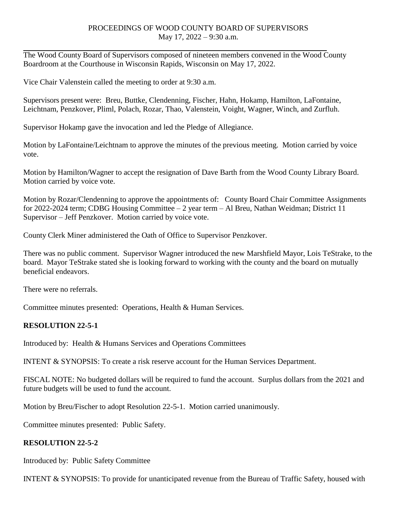#### PROCEEDINGS OF WOOD COUNTY BOARD OF SUPERVISORS May 17, 2022 – 9:30 a.m.

The Wood County Board of Supervisors composed of nineteen members convened in the Wood County Boardroom at the Courthouse in Wisconsin Rapids, Wisconsin on May 17, 2022.

Vice Chair Valenstein called the meeting to order at 9:30 a.m.

Supervisors present were: Breu, Buttke, Clendenning, Fischer, Hahn, Hokamp, Hamilton, LaFontaine, Leichtnam, Penzkover, Pliml, Polach, Rozar, Thao, Valenstein, Voight, Wagner, Winch, and Zurfluh.

Supervisor Hokamp gave the invocation and led the Pledge of Allegiance.

Motion by LaFontaine/Leichtnam to approve the minutes of the previous meeting. Motion carried by voice vote.

Motion by Hamilton/Wagner to accept the resignation of Dave Barth from the Wood County Library Board. Motion carried by voice vote.

Motion by Rozar/Clendenning to approve the appointments of: County Board Chair Committee Assignments for 2022-2024 term; CDBG Housing Committee – 2 year term – Al Breu, Nathan Weidman; District 11 Supervisor – Jeff Penzkover. Motion carried by voice vote.

County Clerk Miner administered the Oath of Office to Supervisor Penzkover.

There was no public comment. Supervisor Wagner introduced the new Marshfield Mayor, Lois TeStrake, to the board. Mayor TeStrake stated she is looking forward to working with the county and the board on mutually beneficial endeavors.

There were no referrals.

Committee minutes presented: Operations, Health & Human Services.

### **RESOLUTION 22-5-1**

Introduced by: Health & Humans Services and Operations Committees

INTENT & SYNOPSIS: To create a risk reserve account for the Human Services Department.

FISCAL NOTE: No budgeted dollars will be required to fund the account. Surplus dollars from the 2021 and future budgets will be used to fund the account.

Motion by Breu/Fischer to adopt Resolution 22-5-1. Motion carried unanimously.

Committee minutes presented: Public Safety.

### **RESOLUTION 22-5-2**

Introduced by: Public Safety Committee

INTENT & SYNOPSIS: To provide for unanticipated revenue from the Bureau of Traffic Safety, housed with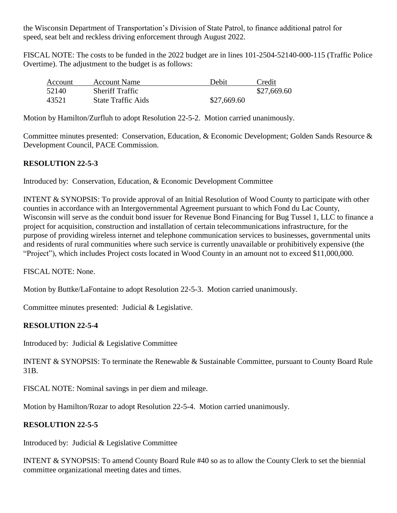the Wisconsin Department of Transportation's Division of State Patrol, to finance additional patrol for speed, seat belt and reckless driving enforcement through August 2022.

FISCAL NOTE: The costs to be funded in the 2022 budget are in lines 101-2504-52140-000-115 (Traffic Police Overtime). The adjustment to the budget is as follows:

| Account | <b>Account Name</b>       | Debit       | Credit      |
|---------|---------------------------|-------------|-------------|
| 52140   | <b>Sheriff Traffic</b>    |             | \$27,669.60 |
| 43521   | <b>State Traffic Aids</b> | \$27,669.60 |             |

Motion by Hamilton/Zurfluh to adopt Resolution 22-5-2. Motion carried unanimously.

Committee minutes presented: Conservation, Education, & Economic Development; Golden Sands Resource & Development Council, PACE Commission.

## **RESOLUTION 22-5-3**

Introduced by: Conservation, Education, & Economic Development Committee

INTENT & SYNOPSIS: To provide approval of an Initial Resolution of Wood County to participate with other counties in accordance with an Intergovernmental Agreement pursuant to which Fond du Lac County, Wisconsin will serve as the conduit bond issuer for Revenue Bond Financing for Bug Tussel 1, LLC to finance a project for acquisition, construction and installation of certain telecommunications infrastructure, for the purpose of providing wireless internet and telephone communication services to businesses, governmental units and residents of rural communities where such service is currently unavailable or prohibitively expensive (the "Project"), which includes Project costs located in Wood County in an amount not to exceed \$11,000,000.

FISCAL NOTE: None.

Motion by Buttke/LaFontaine to adopt Resolution 22-5-3. Motion carried unanimously.

Committee minutes presented: Judicial & Legislative.

# **RESOLUTION 22-5-4**

Introduced by: Judicial & Legislative Committee

INTENT & SYNOPSIS: To terminate the Renewable & Sustainable Committee, pursuant to County Board Rule 31B.

FISCAL NOTE: Nominal savings in per diem and mileage.

Motion by Hamilton/Rozar to adopt Resolution 22-5-4. Motion carried unanimously.

### **RESOLUTION 22-5-5**

Introduced by: Judicial & Legislative Committee

INTENT & SYNOPSIS: To amend County Board Rule #40 so as to allow the County Clerk to set the biennial committee organizational meeting dates and times.